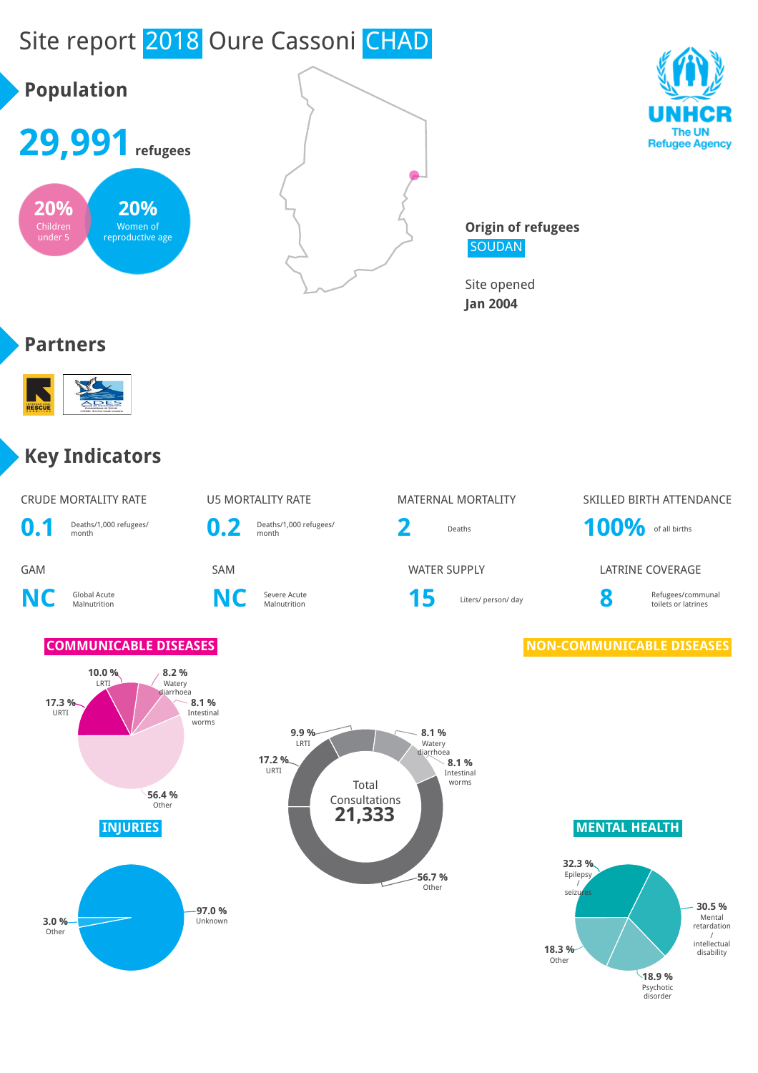





The UN **Refugee Agency** 

**Origin of refugees** SOUDAN

Site opened **Jan 2004**

#### **Partners**



#### **Key Indicators**

| <b>CRUDE MORTALITY RATE</b> |                                 |              | <b>U5 MORTALITY RATE</b>        | <b>MATERNAL MORTALITY</b> |                 |  |
|-----------------------------|---------------------------------|--------------|---------------------------------|---------------------------|-----------------|--|
| $\mathbf{0}$ .              | Deaths/1,000 refugees/<br>month | $\mathbf{0}$ | Deaths/1,000 refugees/<br>month | Deaths                    | 101             |  |
| <b>GAM</b>                  |                                 | <b>SAM</b>   |                                 | <b>WATER SUPPLY</b>       | LA <sub>1</sub> |  |
|                             | Global Acute<br>Malnutrition    | NIC          | Severe Acute<br>Malnutrition    | Liters/ person/ day       | 8               |  |







# MATERNAL MORTALITY SKILLED BIRTH ATTENDANCE **2** Deaths **100%** of all births

WATER SUPPLY **EXAMPLE SUPPLY** LATRINE COVERAGE

Refugees/communal toilets or latrines

#### **COMMUNICABLE DISEASES NON-COMMUNICABLE DISEASES**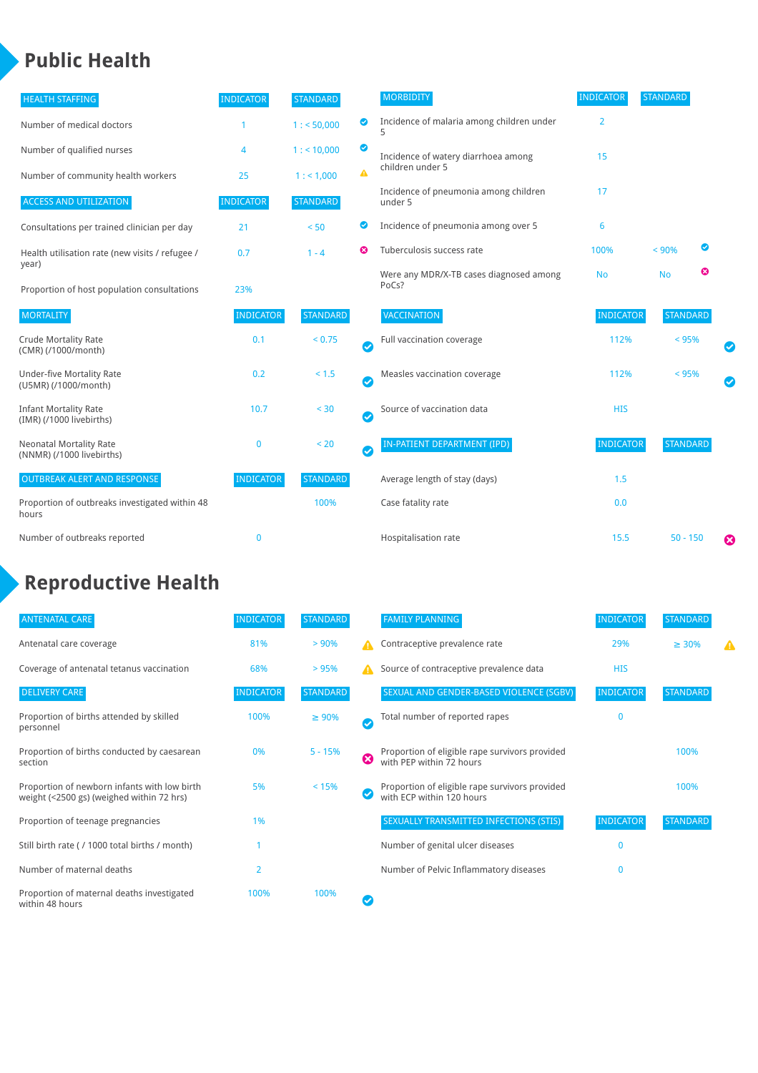#### **Public Health**

| <b>HEALTH STAFFING</b>                                      | <b>INDICATOR</b> | <b>STANDARD</b> |           | <b>MORBIDITY</b>                                 | <b>INDICATOR</b> | <b>STANDARD</b> |   |
|-------------------------------------------------------------|------------------|-----------------|-----------|--------------------------------------------------|------------------|-----------------|---|
| Number of medical doctors                                   |                  | 1: 50,000       | ◙         | Incidence of malaria among children under        | $\overline{2}$   |                 |   |
| Number of qualified nurses                                  | 4                | 1:10,000        | ◙         | Incidence of watery diarrhoea among              | 15               |                 |   |
| Number of community health workers                          | 25               | 1: 1,000        | A         | children under 5                                 |                  |                 |   |
| <b>ACCESS AND UTILIZATION</b>                               | <b>INDICATOR</b> | <b>STANDARD</b> |           | Incidence of pneumonia among children<br>under 5 | 17               |                 |   |
| Consultations per trained clinician per day                 | 21               | < 50            | ◙         | Incidence of pneumonia among over 5              | 6                |                 |   |
| Health utilisation rate (new visits / refugee /             | 0.7              | $1 - 4$         | ೞ         | Tuberculosis success rate                        | 100%             | < 90%           | ◙ |
| year)<br>Proportion of host population consultations        | 23%              |                 |           | Were any MDR/X-TB cases diagnosed among<br>PoCs? | <b>No</b>        | <b>No</b>       | ☺ |
| <b>MORTALITY</b>                                            | <b>INDICATOR</b> | <b>STANDARD</b> |           | VACCINATION                                      | <b>INDICATOR</b> | <b>STANDARD</b> |   |
| <b>Crude Mortality Rate</b><br>(CMR) (/1000/month)          | 0.1              | < 0.75          | $\bullet$ | Full vaccination coverage                        | 112%             | $< 95\%$        |   |
| <b>Under-five Mortality Rate</b><br>(U5MR) (/1000/month)    | 0.2              | < 1.5           | Ø         | Measles vaccination coverage                     | 112%             | < 95%           |   |
| <b>Infant Mortality Rate</b><br>(IMR) (/1000 livebirths)    | 10.7             | < 30            | $\bullet$ | Source of vaccination data                       | <b>HIS</b>       |                 |   |
| <b>Neonatal Mortality Rate</b><br>(NNMR) (/1000 livebirths) | $\mathbf{0}$     | < 20            | $\bullet$ | <b>IN-PATIENT DEPARTMENT (IPD)</b>               | <b>INDICATOR</b> | <b>STANDARD</b> |   |
| <b>OUTBREAK ALERT AND RESPONSE</b>                          | <b>INDICATOR</b> | <b>STANDARD</b> |           | Average length of stay (days)                    | 1.5              |                 |   |
| Proportion of outbreaks investigated within 48<br>hours     |                  | 100%            |           | Case fatality rate                               | 0.0              |                 |   |
| Number of outbreaks reported                                | $\mathbf 0$      |                 |           | Hospitalisation rate                             | 15.5             | $50 - 150$      | Ø |

### **Reproductive Health**

| <b>ANTENATAL CARE</b>                                                                     | <b>INDICATOR</b> | <b>STANDARD</b> |                       | <b>FAMILY PLANNING</b>                                                      | <b>INDICATOR</b> | <b>STANDARD</b> |  |
|-------------------------------------------------------------------------------------------|------------------|-----------------|-----------------------|-----------------------------------------------------------------------------|------------------|-----------------|--|
| Antenatal care coverage                                                                   | 81%              | > 90%           |                       | Contraceptive prevalence rate                                               | 29%              | $\geq 30\%$     |  |
| Coverage of antenatal tetanus vaccination                                                 | 68%              | > 95%           |                       | Source of contraceptive prevalence data                                     | <b>HIS</b>       |                 |  |
| <b>DELIVERY CARE</b>                                                                      | <b>INDICATOR</b> | <b>STANDARD</b> |                       | SEXUAL AND GENDER-BASED VIOLENCE (SGBV)                                     | <b>INDICATOR</b> | <b>STANDARD</b> |  |
| Proportion of births attended by skilled<br>personnel                                     | 100%             | $\geq 90\%$     | $\boldsymbol{\sigma}$ | Total number of reported rapes                                              | $\mathbf{0}$     |                 |  |
| Proportion of births conducted by caesarean<br>section                                    | 0%               | $5 - 15%$       | ☺                     | Proportion of eligible rape survivors provided<br>with PEP within 72 hours  |                  | 100%            |  |
| Proportion of newborn infants with low birth<br>weight (<2500 gs) (weighed within 72 hrs) | 5%               | < 15%           |                       | Proportion of eligible rape survivors provided<br>with ECP within 120 hours |                  | 100%            |  |
| Proportion of teenage pregnancies                                                         | 1%               |                 |                       | SEXUALLY TRANSMITTED INFECTIONS (STIS)                                      | <b>INDICATOR</b> | <b>STANDARD</b> |  |
| Still birth rate (/1000 total births / month)                                             |                  |                 |                       | Number of genital ulcer diseases                                            | $\Omega$         |                 |  |
| Number of maternal deaths                                                                 | $\overline{2}$   |                 |                       | Number of Pelvic Inflammatory diseases                                      | 0                |                 |  |
| Proportion of maternal deaths investigated<br>within 48 hours                             | 100%             | 100%            |                       |                                                                             |                  |                 |  |